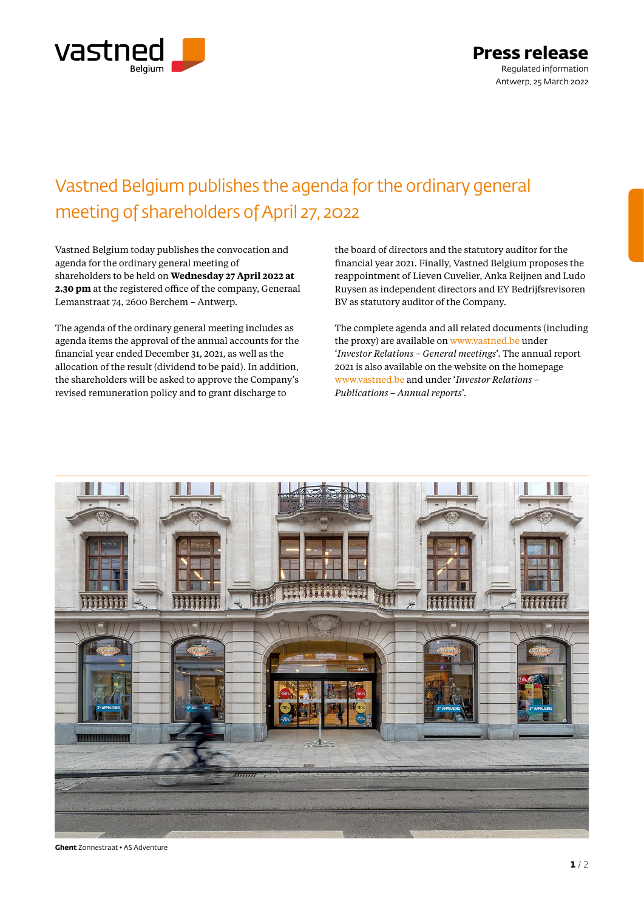

## Vastned Belgium publishes the agenda for the ordinary general meeting of shareholders of April 27, 2022

Vastned Belgium today publishes the convocation and agenda for the ordinary general meeting of shareholders to be held on **Wednesday 27 April 2022 at 2.30 pm** at the registered office of the company, Generaal Lemanstraat 74, 2600 Berchem – Antwerp.

The agenda of the ordinary general meeting includes as agenda items the approval of the annual accounts for the financial year ended December 31, 2021, as well as the allocation of the result (dividend to be paid). In addition, the shareholders will be asked to approve the Company's revised remuneration policy and to grant discharge to

the board of directors and the statutory auditor for the financial year 2021. Finally, Vastned Belgium proposes the reappointment of Lieven Cuvelier, Anka Reijnen and Ludo Ruysen as independent directors and EY Bedrijfsrevisoren BV as statutory auditor of the Company.

The complete agenda and all related documents (including the proxy) are available on www.vastned.be under '*Investor Relations – General meetings*'. The annual report 2021 is also available on the website on the homepage www.vastned.be and under '*Investor Relations – Publications – Annual reports*'.



**Ghent** Zonnestraat • AS Adventure